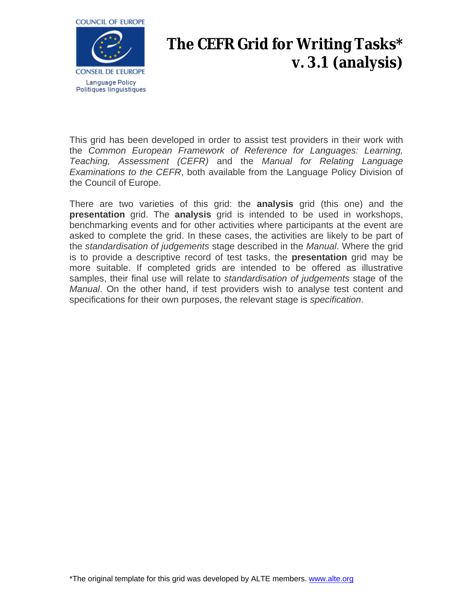

## **The CEFR Grid for Writing Tasks\* v. 3.1 (analysis)**

This grid has been developed in order to assist test providers in their work with the *Common European Framework of Reference for Languages: Learning, Teaching, Assessment (CEFR)* and the *Manual for Relating Language Examinations to the CEFR*, both available from the Language Policy Division of the Council of Europe.

There are two varieties of this grid: the **analysis** grid (this one) and the **presentation** grid. The **analysis** grid is intended to be used in workshops, benchmarking events and for other activities where participants at the event are asked to complete the grid. In these cases, the activities are likely to be part of the *standardisation of judgements* stage described in the *Manual*. Where the grid is to provide a descriptive record of test tasks, the **presentation** grid may be more suitable. If completed grids are intended to be offered as illustrative samples, their final use will relate to *standardisation of judgements* stage of the *Manual*. On the other hand, if test providers wish to analyse test content and specifications for their own purposes, the relevant stage is *specification*.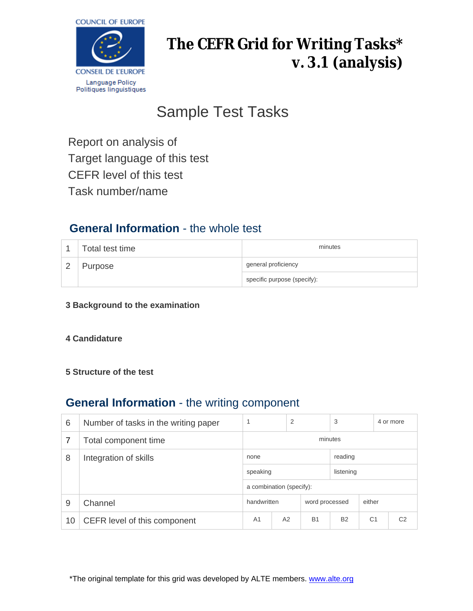

# **The CEFR Grid for Writing Tasks\* v. 3.1 (analysis)**

# Sample Test Tasks

Report on analysis of Target language of this test CEFR level of this test Task number/name

## **General Information** - the whole test

| Total test time | minutes                     |  |  |
|-----------------|-----------------------------|--|--|
| Purpose         | general proficiency         |  |  |
|                 | specific purpose (specify): |  |  |

**3 Background to the examination**

### **4 Candidature**

### **5 Structure of the test**

### **General Information** - the writing component

| 6  | Number of tasks in the writing paper | 1                        | 2  |                | 3         |                | 4 or more      |
|----|--------------------------------------|--------------------------|----|----------------|-----------|----------------|----------------|
|    | Total component time                 | minutes                  |    |                |           |                |                |
| 8  | Integration of skills                | none                     |    |                | reading   |                |                |
|    |                                      | speaking                 |    | listening      |           |                |                |
|    |                                      | a combination (specify): |    |                |           |                |                |
| 9  | Channel                              | handwritten              |    | word processed |           | either         |                |
| 10 | CEFR level of this component         | A <sub>1</sub>           | A2 | <b>B1</b>      | <b>B2</b> | C <sub>1</sub> | C <sub>2</sub> |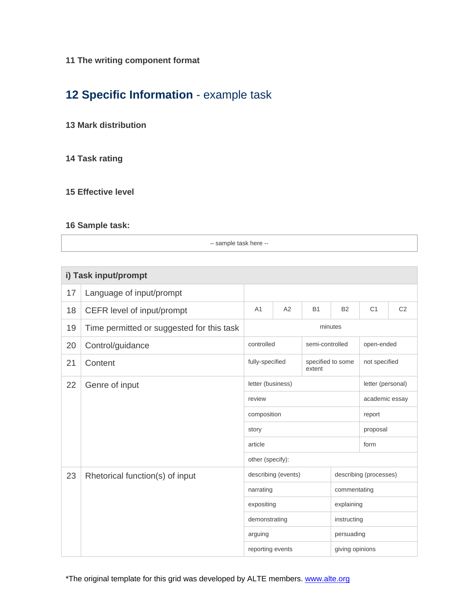### **11 The writing component format**

## **12 Specific Information** - example task

#### **13 Mark distribution**

### **14 Task rating**

### **15 Effective level**

### **16 Sample task:**

– sample task here --

| i) Task input/prompt |                                           |                                                                         |                     |             |                 |                        |                |
|----------------------|-------------------------------------------|-------------------------------------------------------------------------|---------------------|-------------|-----------------|------------------------|----------------|
| 17                   | Language of input/prompt                  |                                                                         |                     |             |                 |                        |                |
| 18                   | CEFR level of input/prompt                | A <sub>1</sub>                                                          | A2                  | <b>B1</b>   | <b>B2</b>       | C <sub>1</sub>         | C <sub>2</sub> |
| 19                   | Time permitted or suggested for this task | minutes                                                                 |                     |             |                 |                        |                |
| 20                   | Control/guidance                          | controlled<br>semi-controlled                                           |                     |             | open-ended      |                        |                |
| 21                   | Content                                   | fully-specified<br>specified to some<br>extent                          |                     |             | not specified   |                        |                |
| 22                   | Genre of input                            |                                                                         | letter (business)   |             |                 | letter (personal)      |                |
|                      |                                           | review                                                                  |                     |             | academic essay  |                        |                |
|                      |                                           | composition                                                             |                     |             | report          |                        |                |
|                      |                                           | story<br>article                                                        |                     |             | proposal        |                        |                |
|                      |                                           |                                                                         |                     |             | form            |                        |                |
|                      |                                           | other (specify):                                                        |                     |             |                 |                        |                |
| 23                   | Rhetorical function(s) of input           |                                                                         | describing (events) |             |                 | describing (processes) |                |
|                      |                                           | narrating<br>expositing<br>demonstrating<br>arguing<br>reporting events |                     |             | commentating    |                        |                |
|                      |                                           |                                                                         |                     | explaining  |                 |                        |                |
|                      |                                           |                                                                         |                     | instructing |                 |                        |                |
|                      |                                           |                                                                         |                     | persuading  |                 |                        |                |
|                      |                                           |                                                                         |                     |             | giving opinions |                        |                |

\*The original template for this grid was developed by ALTE members. [www.alte.org](file://isengard/Transit_src/Internet/DG4/Linguistic/Source/www.alte.org)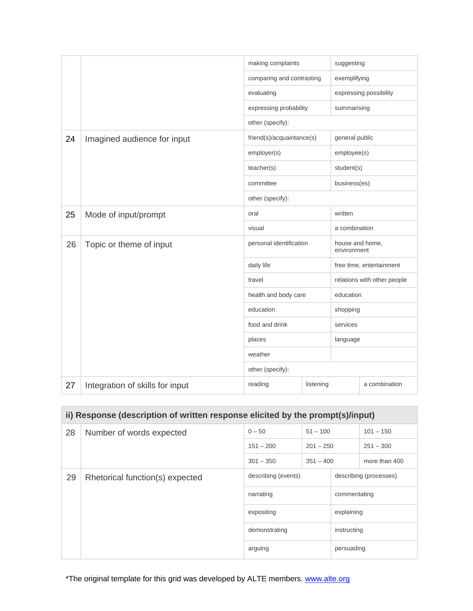|    | making complaints               |                           |  | suggesting                     |                        |
|----|---------------------------------|---------------------------|--|--------------------------------|------------------------|
|    |                                 | comparing and contrasting |  | exemplifying                   |                        |
|    |                                 | evaluating                |  |                                | expressing possibility |
|    |                                 | expressing probability    |  | summarising                    |                        |
|    |                                 | other (specify):          |  |                                |                        |
| 24 | Imagined audience for input     | friend(s)/acquaintance(s) |  | general public                 |                        |
|    |                                 | employer(s)               |  | employee(s)                    |                        |
|    |                                 | teacher(s)                |  | student(s)                     |                        |
|    |                                 | committee                 |  | business(es)                   |                        |
|    |                                 | other (specify):          |  |                                |                        |
| 25 | Mode of input/prompt            | oral                      |  | written                        |                        |
|    |                                 | visual                    |  | a combination                  |                        |
| 26 | Topic or theme of input         | personal identification   |  | house and home,<br>environment |                        |
|    |                                 | daily life                |  | free time, entertainment       |                        |
|    |                                 | travel                    |  | relations with other people    |                        |
|    |                                 | health and body care      |  | education                      |                        |
|    |                                 | education                 |  | shopping                       |                        |
|    |                                 | food and drink            |  | services                       |                        |
|    |                                 | places                    |  | language                       |                        |
|    |                                 | weather                   |  |                                |                        |
|    |                                 | other (specify):          |  |                                |                        |
| 27 | Integration of skills for input | reading<br>listening      |  |                                | a combination          |

| ii) Response (description of written response elicited by the prompt(s)/input) |                                 |                                                |             |                        |               |  |  |
|--------------------------------------------------------------------------------|---------------------------------|------------------------------------------------|-------------|------------------------|---------------|--|--|
| 28                                                                             | Number of words expected        | $0 - 50$<br>$51 - 100$                         |             |                        | $101 - 150$   |  |  |
|                                                                                |                                 | $151 - 200$                                    | $201 - 250$ |                        | $251 - 300$   |  |  |
|                                                                                |                                 | $301 - 350$                                    | $351 - 400$ |                        | more than 400 |  |  |
| 29                                                                             | Rhetorical function(s) expected | describing (events)<br>narrating<br>expositing |             | describing (processes) |               |  |  |
|                                                                                |                                 |                                                |             | commentating           |               |  |  |
|                                                                                |                                 |                                                |             | explaining             |               |  |  |
|                                                                                | demonstrating<br>arguing        |                                                |             | instructing            |               |  |  |
|                                                                                |                                 |                                                |             | persuading             |               |  |  |

\*The original template for this grid was developed by ALTE members. [www.alte.org](file://isengard/Transit_src/Internet/DG4/Linguistic/Source/www.alte.org)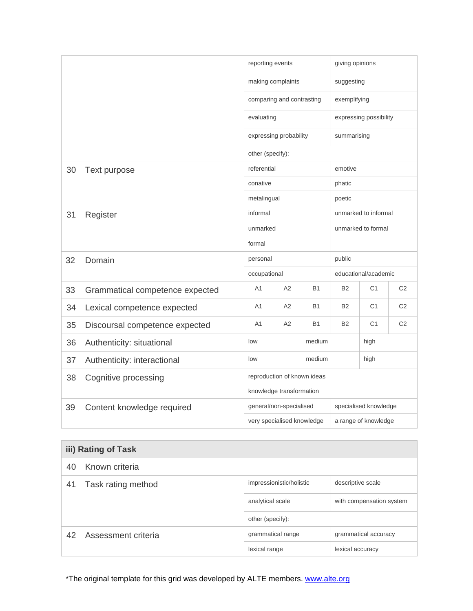|    |                                 | reporting events                                        |                           | giving opinions      |                        |                      |                |
|----|---------------------------------|---------------------------------------------------------|---------------------------|----------------------|------------------------|----------------------|----------------|
|    | making complaints               |                                                         |                           | suggesting           |                        |                      |                |
|    |                                 |                                                         | comparing and contrasting |                      | exemplifying           |                      |                |
|    |                                 | evaluating                                              |                           |                      | expressing possibility |                      |                |
|    |                                 |                                                         | expressing probability    |                      | summarising            |                      |                |
|    |                                 | other (specify):                                        |                           |                      |                        |                      |                |
| 30 | Text purpose                    | referential                                             |                           |                      | emotive                |                      |                |
|    |                                 | conative                                                |                           |                      | phatic                 |                      |                |
|    |                                 | metalingual                                             |                           |                      | poetic                 |                      |                |
| 31 | Register                        | informal                                                |                           | unmarked to informal |                        |                      |                |
|    |                                 | unmarked                                                |                           |                      | unmarked to formal     |                      |                |
|    |                                 | formal                                                  |                           |                      |                        |                      |                |
| 32 | Domain                          | personal                                                |                           | public               |                        |                      |                |
|    |                                 | occupational                                            |                           |                      | educational/academic   |                      |                |
| 33 | Grammatical competence expected | A1                                                      | A2                        | <b>B1</b>            | <b>B2</b>              | C <sub>1</sub>       | C <sub>2</sub> |
| 34 | Lexical competence expected     | A1                                                      | A2                        | <b>B1</b>            | <b>B2</b>              | C <sub>1</sub>       | C <sub>2</sub> |
| 35 | Discoursal competence expected  | A1                                                      | A2                        | <b>B1</b>            | <b>B2</b>              | C <sub>1</sub>       | C <sub>2</sub> |
| 36 | Authenticity: situational       | low<br>medium                                           |                           | high                 |                        |                      |                |
| 37 | Authenticity: interactional     | medium<br>low                                           |                           | high                 |                        |                      |                |
| 38 | Cognitive processing            | reproduction of known ideas<br>knowledge transformation |                           |                      |                        |                      |                |
|    |                                 |                                                         |                           |                      |                        |                      |                |
| 39 | Content knowledge required      | general/non-specialised<br>specialised knowledge        |                           |                      |                        |                      |                |
|    |                                 | very specialised knowledge                              |                           |                      |                        | a range of knowledge |                |

| iii) Rating of Task |                     |                                           |                          |  |  |  |
|---------------------|---------------------|-------------------------------------------|--------------------------|--|--|--|
| 40                  | Known criteria      |                                           |                          |  |  |  |
| 41                  | Task rating method  | impressionistic/holistic                  | descriptive scale        |  |  |  |
|                     |                     | analytical scale                          | with compensation system |  |  |  |
|                     |                     | other (specify):                          |                          |  |  |  |
| 42                  | Assessment criteria | grammatical range<br>grammatical accuracy |                          |  |  |  |
|                     |                     | lexical range                             | lexical accuracy         |  |  |  |

\*The original template for this grid was developed by ALTE members. [www.alte.org](file://isengard/Transit_src/Internet/DG4/Linguistic/Source/www.alte.org)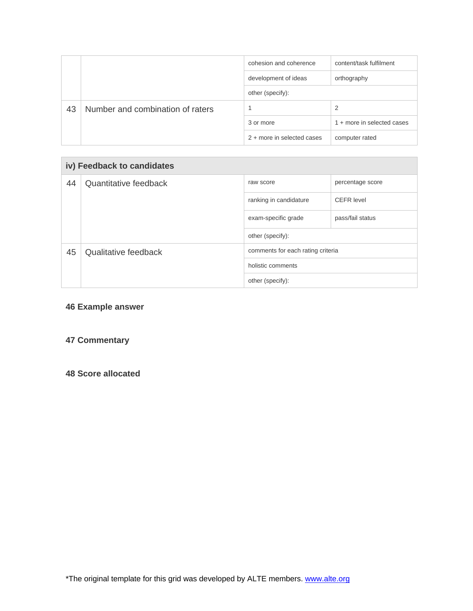|    |                                  | cohesion and coherence     | content/task fulfilment    |  |  |
|----|----------------------------------|----------------------------|----------------------------|--|--|
|    |                                  | development of ideas       | orthography                |  |  |
|    |                                  | other (specify):           |                            |  |  |
| 43 | Number and combination of raters |                            | 2                          |  |  |
|    |                                  | 3 or more                  | 1 + more in selected cases |  |  |
|    |                                  | 2 + more in selected cases | computer rated             |  |  |

| iv) Feedback to candidates |                       |                                       |                   |  |  |  |  |
|----------------------------|-----------------------|---------------------------------------|-------------------|--|--|--|--|
| 44                         | Quantitative feedback | raw score                             | percentage score  |  |  |  |  |
|                            |                       | ranking in candidature                | <b>CEFR</b> level |  |  |  |  |
|                            |                       | exam-specific grade                   | pass/fail status  |  |  |  |  |
|                            |                       | other (specify):                      |                   |  |  |  |  |
| 45                         | Qualitative feedback  | comments for each rating criteria     |                   |  |  |  |  |
|                            |                       | holistic comments<br>other (specify): |                   |  |  |  |  |
|                            |                       |                                       |                   |  |  |  |  |

### **46 Example answer**

### **47 Commentary**

**48 Score allocated**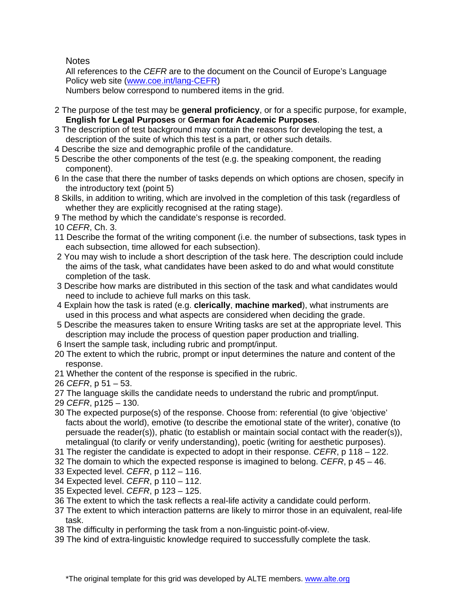**Notes** 

All references to the *CEFR* are to the document on the Council of Europe's Language Policy web site ([www.coe.int/lang-CEFR](http://www.coe.int/lang-CEFR))

Numbers below correspond to numbered items in the grid.

- 2 The purpose of the test may be **general proficiency**, or for a specific purpose, for example, **English for Legal Purposes** or **German for Academic Purposes**.
- 3 The description of test background may contain the reasons for developing the test, a description of the suite of which this test is a part, or other such details.
- 4 Describe the size and demographic profile of the candidature.
- 5 Describe the other components of the test (e.g. the speaking component, the reading component).
- 6 In the case that there the number of tasks depends on which options are chosen, specify in the introductory text (point 5)
- 8 Skills, in addition to writing, which are involved in the completion of this task (regardless of whether they are explicitly recognised at the rating stage).
- 9 The method by which the candidate's response is recorded.
- 10 *CEFR*, Ch. 3.
- 11 Describe the format of the writing component (i.e. the number of subsections, task types in each subsection, time allowed for each subsection).
- 2 You may wish to include a short description of the task here. The description could include the aims of the task, what candidates have been asked to do and what would constitute completion of the task.
- 3 Describe how marks are distributed in this section of the task and what candidates would need to include to achieve full marks on this task.
- 4 Explain how the task is rated (e.g. **clerically**, **machine marked**), what instruments are used in this process and what aspects are considered when deciding the grade.
- 5 Describe the measures taken to ensure Writing tasks are set at the appropriate level. This description may include the process of question paper production and trialling.
- 6 Insert the sample task, including rubric and prompt/input.
- 20 The extent to which the rubric, prompt or input determines the nature and content of the response.
- 21 Whether the content of the response is specified in the rubric.
- 26 *CEFR*, p 51 53.
- 27 The language skills the candidate needs to understand the rubric and prompt/input.
- 29 *CEFR*, p125 130.
- 30 The expected purpose(s) of the response. Choose from: referential (to give 'objective' facts about the world), emotive (to describe the emotional state of the writer), conative (to persuade the reader(s)), phatic (to establish or maintain social contact with the reader(s)), metalingual (to clarify or verify understanding), poetic (writing for aesthetic purposes).
- 31 The register the candidate is expected to adopt in their response. *CEFR*, p 118 122.
- 32 The domain to which the expected response is imagined to belong. *CEFR*, p 45 46.
- 33 Expected level. *CEFR*, p 112 116.
- 34 Expected level. *CEFR*, p 110 112.
- 35 Expected level. *CEFR*, p 123 125.
- 36 The extent to which the task reflects a real-life activity a candidate could perform.
- 37 The extent to which interaction patterns are likely to mirror those in an equivalent, real-life task.
- 38 The difficulty in performing the task from a non-linguistic point-of-view.
- 39 The kind of extra-linguistic knowledge required to successfully complete the task.